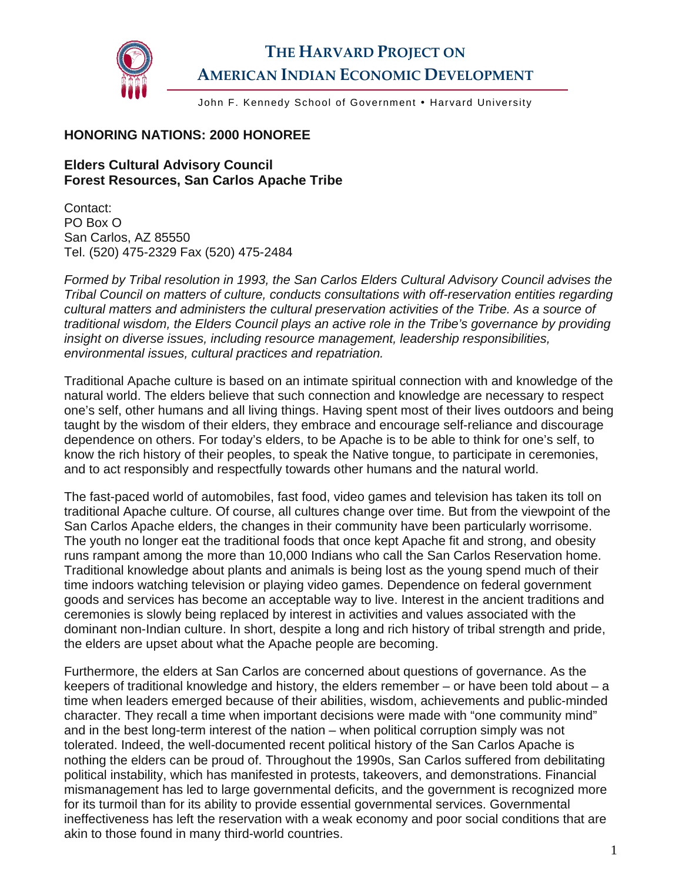

## **THE HARVARD PROJECT ON AMERICAN INDIAN ECONOMIC DEVELOPMENT**

John F. Kennedy School of Government • Harvard University

## **HONORING NATIONS: 2000 HONOREE**

## **Elders Cultural Advisory Council Forest Resources, San Carlos Apache Tribe**

Contact: PO Box O San Carlos, AZ 85550 Tel. (520) 475-2329 Fax (520) 475-2484

*Formed by Tribal resolution in 1993, the San Carlos Elders Cultural Advisory Council advises the Tribal Council on matters of culture, conducts consultations with off-reservation entities regarding cultural matters and administers the cultural preservation activities of the Tribe. As a source of traditional wisdom, the Elders Council plays an active role in the Tribe's governance by providing insight on diverse issues, including resource management, leadership responsibilities, environmental issues, cultural practices and repatriation.* 

Traditional Apache culture is based on an intimate spiritual connection with and knowledge of the natural world. The elders believe that such connection and knowledge are necessary to respect one's self, other humans and all living things. Having spent most of their lives outdoors and being taught by the wisdom of their elders, they embrace and encourage self-reliance and discourage dependence on others. For today's elders, to be Apache is to be able to think for one's self, to know the rich history of their peoples, to speak the Native tongue, to participate in ceremonies, and to act responsibly and respectfully towards other humans and the natural world.

The fast-paced world of automobiles, fast food, video games and television has taken its toll on traditional Apache culture. Of course, all cultures change over time. But from the viewpoint of the San Carlos Apache elders, the changes in their community have been particularly worrisome. The youth no longer eat the traditional foods that once kept Apache fit and strong, and obesity runs rampant among the more than 10,000 Indians who call the San Carlos Reservation home. Traditional knowledge about plants and animals is being lost as the young spend much of their time indoors watching television or playing video games. Dependence on federal government goods and services has become an acceptable way to live. Interest in the ancient traditions and ceremonies is slowly being replaced by interest in activities and values associated with the dominant non-Indian culture. In short, despite a long and rich history of tribal strength and pride, the elders are upset about what the Apache people are becoming.

Furthermore, the elders at San Carlos are concerned about questions of governance. As the keepers of traditional knowledge and history, the elders remember – or have been told about – a time when leaders emerged because of their abilities, wisdom, achievements and public-minded character. They recall a time when important decisions were made with "one community mind" and in the best long-term interest of the nation – when political corruption simply was not tolerated. Indeed, the well-documented recent political history of the San Carlos Apache is nothing the elders can be proud of. Throughout the 1990s, San Carlos suffered from debilitating political instability, which has manifested in protests, takeovers, and demonstrations. Financial mismanagement has led to large governmental deficits, and the government is recognized more for its turmoil than for its ability to provide essential governmental services. Governmental ineffectiveness has left the reservation with a weak economy and poor social conditions that are akin to those found in many third-world countries.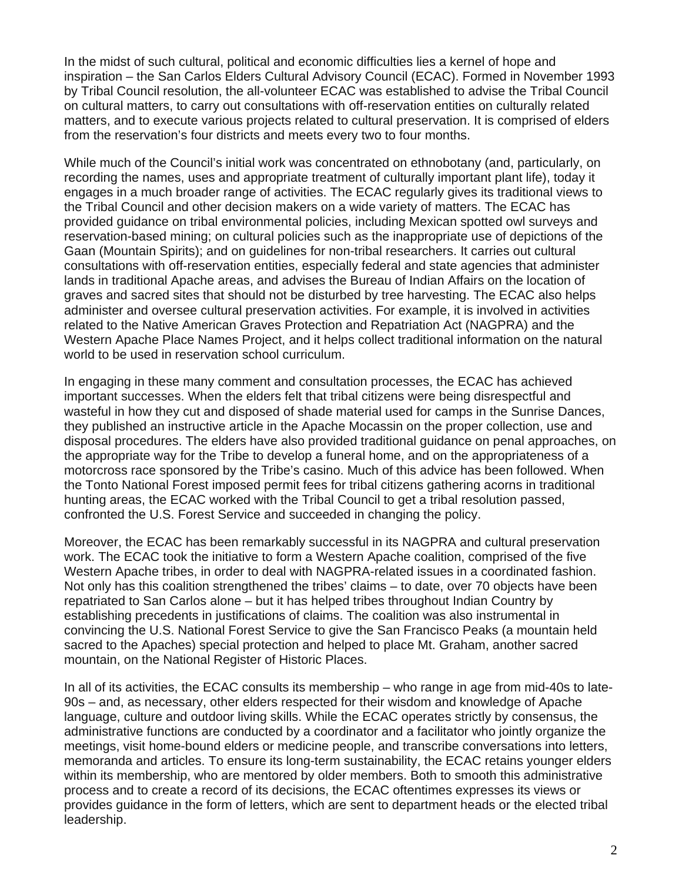In the midst of such cultural, political and economic difficulties lies a kernel of hope and inspiration – the San Carlos Elders Cultural Advisory Council (ECAC). Formed in November 1993 by Tribal Council resolution, the all-volunteer ECAC was established to advise the Tribal Council on cultural matters, to carry out consultations with off-reservation entities on culturally related matters, and to execute various projects related to cultural preservation. It is comprised of elders from the reservation's four districts and meets every two to four months.

While much of the Council's initial work was concentrated on ethnobotany (and, particularly, on recording the names, uses and appropriate treatment of culturally important plant life), today it engages in a much broader range of activities. The ECAC regularly gives its traditional views to the Tribal Council and other decision makers on a wide variety of matters. The ECAC has provided guidance on tribal environmental policies, including Mexican spotted owl surveys and reservation-based mining; on cultural policies such as the inappropriate use of depictions of the Gaan (Mountain Spirits); and on guidelines for non-tribal researchers. It carries out cultural consultations with off-reservation entities, especially federal and state agencies that administer lands in traditional Apache areas, and advises the Bureau of Indian Affairs on the location of graves and sacred sites that should not be disturbed by tree harvesting. The ECAC also helps administer and oversee cultural preservation activities. For example, it is involved in activities related to the Native American Graves Protection and Repatriation Act (NAGPRA) and the Western Apache Place Names Project, and it helps collect traditional information on the natural world to be used in reservation school curriculum.

In engaging in these many comment and consultation processes, the ECAC has achieved important successes. When the elders felt that tribal citizens were being disrespectful and wasteful in how they cut and disposed of shade material used for camps in the Sunrise Dances, they published an instructive article in the Apache Mocassin on the proper collection, use and disposal procedures. The elders have also provided traditional guidance on penal approaches, on the appropriate way for the Tribe to develop a funeral home, and on the appropriateness of a motorcross race sponsored by the Tribe's casino. Much of this advice has been followed. When the Tonto National Forest imposed permit fees for tribal citizens gathering acorns in traditional hunting areas, the ECAC worked with the Tribal Council to get a tribal resolution passed, confronted the U.S. Forest Service and succeeded in changing the policy.

Moreover, the ECAC has been remarkably successful in its NAGPRA and cultural preservation work. The ECAC took the initiative to form a Western Apache coalition, comprised of the five Western Apache tribes, in order to deal with NAGPRA-related issues in a coordinated fashion. Not only has this coalition strengthened the tribes' claims – to date, over 70 objects have been repatriated to San Carlos alone – but it has helped tribes throughout Indian Country by establishing precedents in justifications of claims. The coalition was also instrumental in convincing the U.S. National Forest Service to give the San Francisco Peaks (a mountain held sacred to the Apaches) special protection and helped to place Mt. Graham, another sacred mountain, on the National Register of Historic Places.

In all of its activities, the ECAC consults its membership – who range in age from mid-40s to late-90s – and, as necessary, other elders respected for their wisdom and knowledge of Apache language, culture and outdoor living skills. While the ECAC operates strictly by consensus, the administrative functions are conducted by a coordinator and a facilitator who jointly organize the meetings, visit home-bound elders or medicine people, and transcribe conversations into letters, memoranda and articles. To ensure its long-term sustainability, the ECAC retains younger elders within its membership, who are mentored by older members. Both to smooth this administrative process and to create a record of its decisions, the ECAC oftentimes expresses its views or provides guidance in the form of letters, which are sent to department heads or the elected tribal leadership.